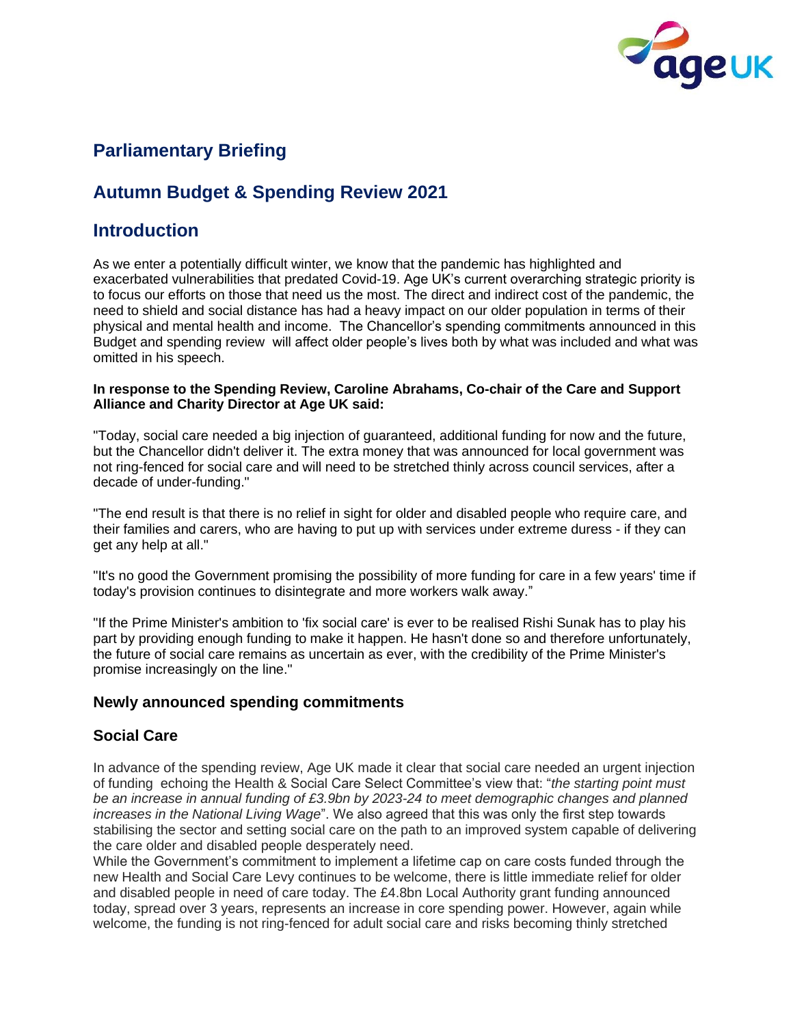

# **Parliamentary Briefing**

# **Autumn Budget & Spending Review 2021**

# **Introduction**

As we enter a potentially difficult winter, we know that the pandemic has highlighted and exacerbated vulnerabilities that predated Covid-19. Age UK's current overarching strategic priority is to focus our efforts on those that need us the most. The direct and indirect cost of the pandemic, the need to shield and social distance has had a heavy impact on our older population in terms of their physical and mental health and income. The Chancellor's spending commitments announced in this Budget and spending review will affect older people's lives both by what was included and what was omitted in his speech.

#### **In response to the Spending Review, Caroline Abrahams, Co-chair of the Care and Support Alliance and Charity Director at Age UK said:**

"Today, social care needed a big injection of guaranteed, additional funding for now and the future, but the Chancellor didn't deliver it. The extra money that was announced for local government was not ring-fenced for social care and will need to be stretched thinly across council services, after a decade of under-funding."

"The end result is that there is no relief in sight for older and disabled people who require care, and their families and carers, who are having to put up with services under extreme duress - if they can get any help at all."

"It's no good the Government promising the possibility of more funding for care in a few years' time if today's provision continues to disintegrate and more workers walk away."

"If the Prime Minister's ambition to 'fix social care' is ever to be realised Rishi Sunak has to play his part by providing enough funding to make it happen. He hasn't done so and therefore unfortunately, the future of social care remains as uncertain as ever, with the credibility of the Prime Minister's promise increasingly on the line."

### **Newly announced spending commitments**

### **Social Care**

In advance of the spending review, Age UK made it clear that social care needed an urgent injection of funding echoing the Health & Social Care Select Committee's view that: "*the starting point must be an increase in annual funding of £3.9bn by 2023-24 to meet demographic changes and planned increases in the National Living Wage*". We also agreed that this was only the first step towards stabilising the sector and setting social care on the path to an improved system capable of delivering the care older and disabled people desperately need.

While the Government's commitment to implement a lifetime cap on care costs funded through the new Health and Social Care Levy continues to be welcome, there is little immediate relief for older and disabled people in need of care today. The £4.8bn Local Authority grant funding announced today, spread over 3 years, represents an increase in core spending power. However, again while welcome, the funding is not ring-fenced for adult social care and risks becoming thinly stretched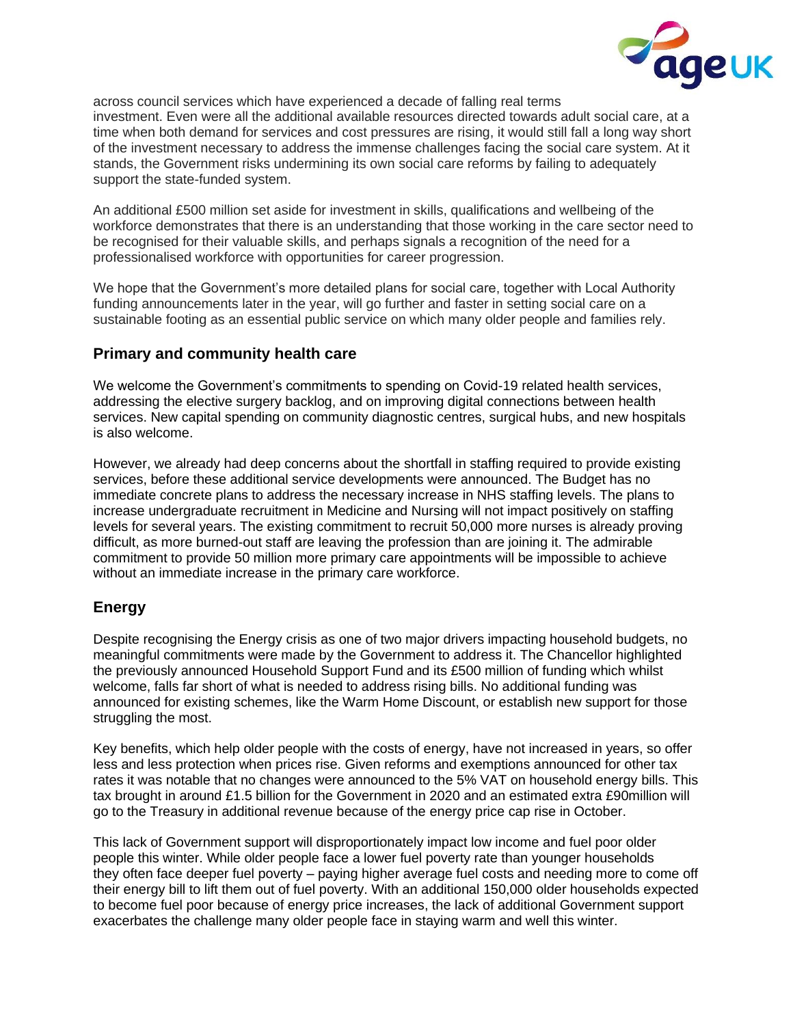

across council services which have experienced a decade of falling real terms investment. Even were all the additional available resources directed towards adult social care, at a time when both demand for services and cost pressures are rising, it would still fall a long way short of the investment necessary to address the immense challenges facing the social care system. At it stands, the Government risks undermining its own social care reforms by failing to adequately support the state-funded system.

An additional £500 million set aside for investment in skills, qualifications and wellbeing of the workforce demonstrates that there is an understanding that those working in the care sector need to be recognised for their valuable skills, and perhaps signals a recognition of the need for a professionalised workforce with opportunities for career progression.

We hope that the Government's more detailed plans for social care, together with Local Authority funding announcements later in the year, will go further and faster in setting social care on a sustainable footing as an essential public service on which many older people and families rely.

#### **Primary and community health care**

We welcome the Government's commitments to spending on Covid-19 related health services, addressing the elective surgery backlog, and on improving digital connections between health services. New capital spending on community diagnostic centres, surgical hubs, and new hospitals is also welcome.

However, we already had deep concerns about the shortfall in staffing required to provide existing services, before these additional service developments were announced. The Budget has no immediate concrete plans to address the necessary increase in NHS staffing levels. The plans to increase undergraduate recruitment in Medicine and Nursing will not impact positively on staffing levels for several years. The existing commitment to recruit 50,000 more nurses is already proving difficult, as more burned-out staff are leaving the profession than are joining it. The admirable commitment to provide 50 million more primary care appointments will be impossible to achieve without an immediate increase in the primary care workforce.

### **Energy**

Despite recognising the Energy crisis as one of two major drivers impacting household budgets, no meaningful commitments were made by the Government to address it. The Chancellor highlighted the previously announced Household Support Fund and its £500 million of funding which whilst welcome, falls far short of what is needed to address rising bills. No additional funding was announced for existing schemes, like the Warm Home Discount, or establish new support for those struggling the most.

Key benefits, which help older people with the costs of energy, have not increased in years, so offer less and less protection when prices rise. Given reforms and exemptions announced for other tax rates it was notable that no changes were announced to the 5% VAT on household energy bills. This tax brought in around £1.5 billion for the Government in 2020 and an estimated extra £90million will go to the Treasury in additional revenue because of the energy price cap rise in October.

This lack of Government support will disproportionately impact low income and fuel poor older people this winter. While older people face a lower fuel poverty rate than younger households they often face deeper fuel poverty – paying higher average fuel costs and needing more to come off their energy bill to lift them out of fuel poverty. With an additional 150,000 older households expected to become fuel poor because of energy price increases, the lack of additional Government support exacerbates the challenge many older people face in staying warm and well this winter.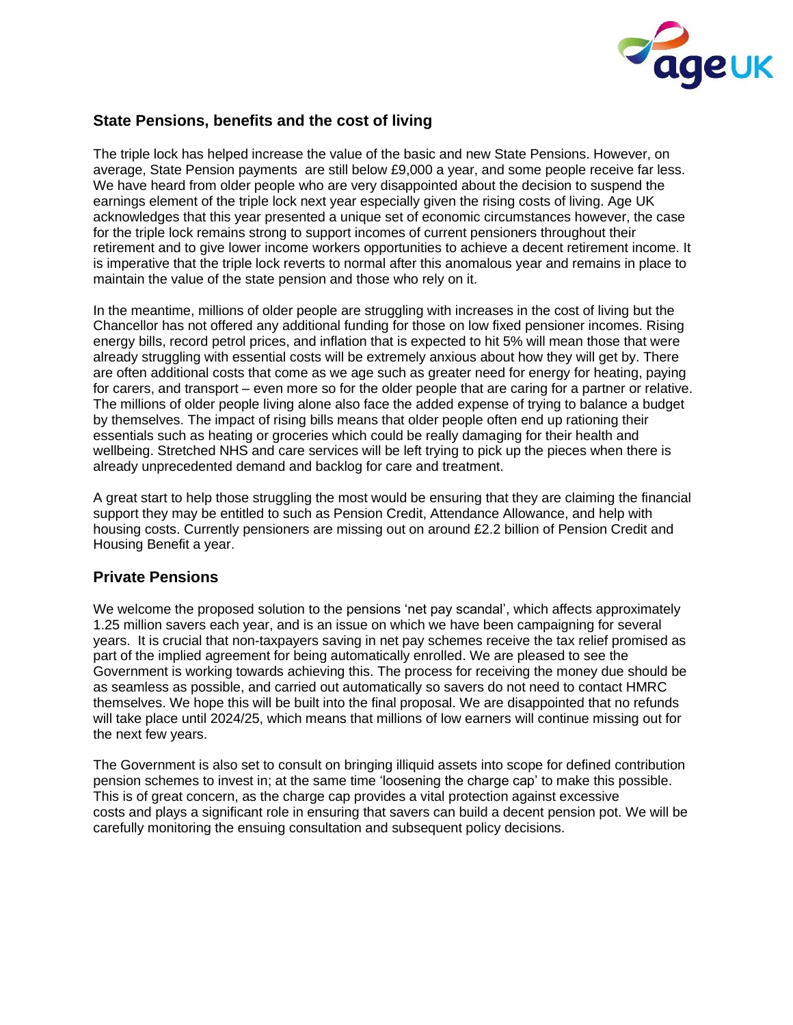

## **State Pensions, benefits and the cost of living**

The triple lock has helped increase the value of the basic and new State Pensions. However, on average, State Pension payments are still below £9,000 a year, and some people receive far less. We have heard from older people who are very disappointed about the decision to suspend the earnings element of the triple lock next year especially given the rising costs of living. Age UK acknowledges that this year presented a unique set of economic circumstances however, the case for the triple lock remains strong to support incomes of current pensioners throughout their retirement and to give lower income workers opportunities to achieve a decent retirement income. It is imperative that the triple lock reverts to normal after this anomalous year and remains in place to maintain the value of the state pension and those who rely on it.

In the meantime, millions of older people are struggling with increases in the cost of living but the Chancellor has not offered any additional funding for those on low fixed pensioner incomes. Rising energy bills, record petrol prices, and inflation that is expected to hit 5% will mean those that were already struggling with essential costs will be extremely anxious about how they will get by. There are often additional costs that come as we age such as greater need for energy for heating, paying for carers, and transport – even more so for the older people that are caring for a partner or relative. The millions of older people living alone also face the added expense of trying to balance a budget by themselves. The impact of rising bills means that older people often end up rationing their essentials such as heating or groceries which could be really damaging for their health and wellbeing. Stretched NHS and care services will be left trying to pick up the pieces when there is already unprecedented demand and backlog for care and treatment.

A great start to help those struggling the most would be ensuring that they are claiming the financial support they may be entitled to such as Pension Credit, Attendance Allowance, and help with housing costs. Currently pensioners are missing out on around £2.2 billion of Pension Credit and Housing Benefit a year.

### **Private Pensions**

We welcome the proposed solution to the pensions 'net pay scandal', which affects approximately 1.25 million savers each year, and is an issue on which we have been campaigning for several years. It is crucial that non-taxpayers saving in net pay schemes receive the tax relief promised as part of the implied agreement for being automatically enrolled. We are pleased to see the Government is working towards achieving this. The process for receiving the money due should be as seamless as possible, and carried out automatically so savers do not need to contact HMRC themselves. We hope this will be built into the final proposal. We are disappointed that no refunds will take place until 2024/25, which means that millions of low earners will continue missing out for the next few years.

The Government is also set to consult on bringing illiquid assets into scope for defined contribution pension schemes to invest in; at the same time 'loosening the charge cap' to make this possible. This is of great concern, as the charge cap provides a vital protection against excessive costs and plays a significant role in ensuring that savers can build a decent pension pot. We will be carefully monitoring the ensuing consultation and subsequent policy decisions.